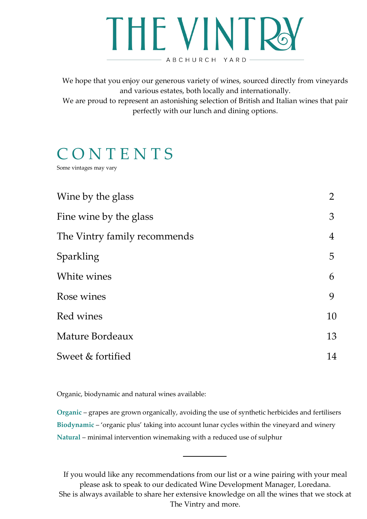# **THE VINTR** ABCHURCH YARD-

We hope that you enjoy our generous variety of wines, sourced directly from vineyards and various estates, both locally and internationally.

We are proud to represent an astonishing selection of British and Italian wines that pair perfectly with our lunch and dining options.

### **CONTENTS**

Some vintages may vary

| Wine by the glass            | $\overline{2}$ |
|------------------------------|----------------|
| Fine wine by the glass       | 3              |
| The Vintry family recommends | $\overline{4}$ |
| Sparkling                    | 5              |
| White wines                  | 6              |
| Rose wines                   | 9              |
| Red wines                    | 10             |
| Mature Bordeaux              | 13             |
| Sweet & fortified            | 14             |

Organic, biodynamic and natural wines available:

**Organic** – grapes are grown organically, avoiding the use of synthetic herbicides and fertilisers **Biodynamic** – 'organic plus' taking into account lunar cycles within the vineyard and winery **Natural** – minimal intervention winemaking with a reduced use of sulphur

If you would like any recommendations from our list or a wine pairing with your meal please ask to speak to our dedicated Wine Development Manager, Loredana. She is always available to share her extensive knowledge on all the wines that we stock at The Vintry and more.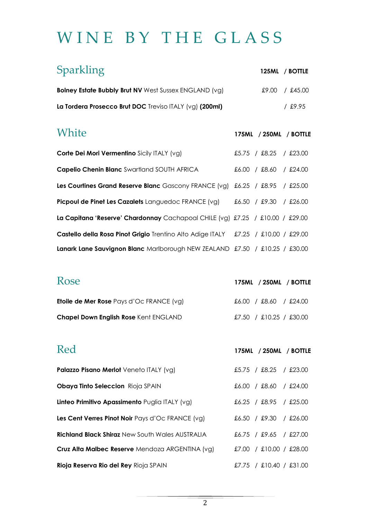## WINE BY THE GLASS

| Sparkling                                                                                                     |                        | 125ML / BOTTLE         |
|---------------------------------------------------------------------------------------------------------------|------------------------|------------------------|
| <b>Bolney Estate Bubbly Brut NV</b> West Sussex ENGLAND (vg)                                                  |                        | £9.00 / £45.00         |
| La Tordera Prosecco Brut DOC Treviso ITALY (vg) (200ml)                                                       |                        | $/$ £9.95              |
| White                                                                                                         |                        | 175ML / 250ML / BOTTLE |
| Corte Dei Mori Vermentino Sicily ITALY (vg)                                                                   |                        | £5.75 / £8.25 / £23.00 |
| <b>Capelio Chenin Blanc</b> Swartland SOUTH AFRICA                                                            | £6.00 / £8.60 / £24.00 |                        |
| <b>Les Courtines Grand Reserve Blanc</b> Gascony FRANCE (vg) $\pounds6.25$ / $\pounds8.95$ / $\pounds25.00$   |                        |                        |
| <b>Picpoul de Pinet Les Cazalets</b> Languedoc FRANCE $(vg)$ $\pm 6.50$ / $\pm 9.30$ / $\pm 26.00$            |                        |                        |
| La Capitana 'Reserve' Chardonnay Cachapoal CHILE (vg) £7.25 / £10.00 / £29.00                                 |                        |                        |
| Castello della Rosa Pinot Grigio Trentino Alto Adige ITALY  £7.25 / £10.00 / £29.00                           |                        |                        |
| <b>Lanark Lane Sauvignon Blanc</b> Marlborough NEW ZEALAND $\pounds$ 7.50 / $\pounds$ 10.25 / $\pounds$ 30.00 |                        |                        |

| Rose                                            | 175ML / 250ML / BOTTLE  |
|-------------------------------------------------|-------------------------|
| <b>Etoile de Mer Rose</b> Pays d'Oc FRANCE (vg) | £6.00 / £8.60 / £24.00  |
| <b>Chapel Down English Rose Kent ENGLAND</b>    | £7.50 / £10.25 / £30.00 |

| Red                                                    | 175ML / 250ML / BOTTLE                 |
|--------------------------------------------------------|----------------------------------------|
| Palazzo Pisano Merlot Veneto ITALY (vg)                | £5.75 / £8.25<br>£23.00<br>$\sqrt{2}$  |
| <b>Obaya Tinto Seleccion</b> Rioja SPAIN               | £8.60<br>£24.00<br>£6.00<br>$\sqrt{ }$ |
| Linteo Primitivo Apassimento Puglia ITALY (vg)         | $£6.25$ / £8.95<br>/ £25.00            |
| Les Cent Verres Pinot Noir Pays d'Oc FRANCE (vg)       | $£6.50$ / £9.30 / £26.00               |
| <b>Richland Black Shiraz New South Wales AUSTRALIA</b> | £6.75 / £9.65 / £27.00                 |
| Cruz Alta Malbec Reserve Mendoza ARGENTINA (vg)        | £10.00 / £28.00<br>£7.00<br>$\sqrt{2}$ |
| Rioja Reserva Rio del Rey Rioja SPAIN                  | £7.75 / £10.40 / £31.00                |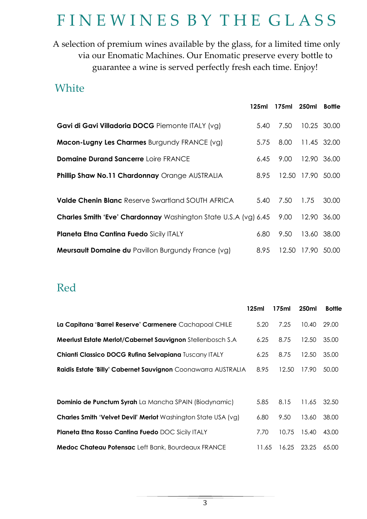### FINEWINES BY THE GLASS

A selection of premium wines available by the glass, for a limited time only via our Enomatic Machines. Our Enomatic preserve every bottle to guarantee a wine is served perfectly fresh each time. Enjoy!

#### **White**

| vvnite                                                                 |       |             |                   |               |
|------------------------------------------------------------------------|-------|-------------|-------------------|---------------|
|                                                                        | 125ml | 175ml 250ml |                   | <b>Bottle</b> |
| Gavi di Gavi Villadoria DOCG Piemonte ITALY (vg)                       | 5.40  | 7.50        | 10.25 30.00       |               |
| <b>Macon-Lugny Les Charmes Burgundy FRANCE (vg)</b>                    | 5.75  | 8.00        | 11.45 32.00       |               |
| <b>Domaine Durand Sancerre Loire FRANCE</b>                            | 6.45  | 9.00        | 12.90 36.00       |               |
| Phillip Shaw No.11 Chardonnay Orange AUSTRALIA                         | 8.95  |             | 12.50 17.90 50.00 |               |
| <b>Valde Chenin Blanc Reserve Swartland SOUTH AFRICA</b>               | 5.40  | 7.50        | 1.75              | 30.00         |
| <b>Charles Smith 'Eve' Chardonnay</b> Washington State U.S.A (vg) 6.45 |       | 9.00        | 12.90 36.00       |               |
| <b>Planeta Etna Cantina Fuedo Sicily ITALY</b>                         | 6.80  | 9.50        | 13.60 38.00       |               |
| <b>Meursault Domaine du Pavillon Burgundy France (vg)</b>              | 8.95  |             | 12.50 17.90 50.00 |               |

#### Red

|                                                               | 125ml | 175ml | 250ml | <b>Bottle</b> |
|---------------------------------------------------------------|-------|-------|-------|---------------|
| La Capitana 'Barrel Reserve' Carmenere Cachapoal CHILE        | 5.20  | 7.25  | 10.40 | 29.00         |
| Meerlust Estate Merlot/Cabernet Sauvignon Stellenbosch S.A    | 6.25  | 8.75  | 12.50 | 35.00         |
| Chianti Classico DOCG Rufina Selvapiana Tuscany ITALY         | 6.25  | 8.75  | 12.50 | 35.00         |
| Raidis Estate 'Billy' Cabernet Sauvignon Coonawarra AUSTRALIA | 8.95  | 12.50 | 17.90 | 50.00         |
|                                                               |       |       |       |               |
| <b>Dominio de Punctum Syrah</b> La Mancha SPAIN (Biodynamic)  | 5.85  | 8.15  | 11.65 | 32.50         |
| Charles Smith 'Velvet Devil' Merlot Washington State USA (vg) | 6.80  | 9.50  | 13.60 | 38.00         |
| <b>Planeta Etna Rosso Cantina Fuedo DOC Sicily ITALY</b>      | 7.70  | 10.75 | 15.40 | 43.00         |
| Medoc Chateau Potensac Left Bank, Bourdeaux FRANCE            | 11.65 | 16.25 | 23.25 | 65.00         |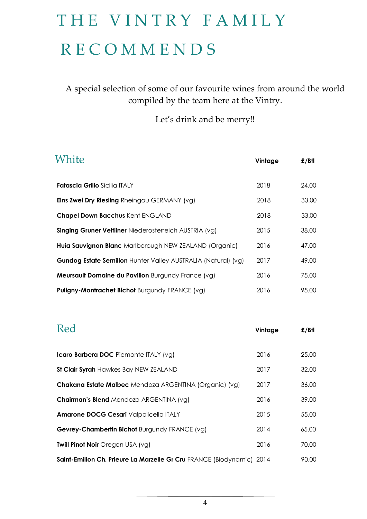# THE VINTRY FAMILY R E C O M M E N D S

A special selection of some of our favourite wines from around the world compiled by the team here at the Vintry.

Let's drink and be merry!!

| White                                                                | Vintage | $E/B$ tl |
|----------------------------------------------------------------------|---------|----------|
| <b>Fatascia Grillo</b> Sicilia ITALY                                 | 2018    | 24.00    |
| <b>Eins Zwei Dry Riesling</b> Rheingau GERMANY (vg)                  | 2018    | 33.00    |
| <b>Chapel Down Bacchus Kent ENGLAND</b>                              | 2018    | 33.00    |
| <b>Singing Gruner Veltliner Niederosterreich AUSTRIA (vg)</b>        | 2015    | 38.00    |
| Huia Sauvignon Blanc Marlborough NEW ZEALAND (Organic)               | 2016    | 47.00    |
| <b>Gundog Estate Semillon</b> Hunter Valley AUSTRALIA (Natural) (vg) | 2017    | 49.00    |
| <b>Meursault Domaine du Pavillon Burgundy France (vg)</b>            | 2016    | 75.00    |
| <b>Puligny-Montrachet Bichot Burgundy FRANCE (vg)</b>                | 2016    | 95.00    |

| Red                                                                   | Vintage | $E/B$ tl |
|-----------------------------------------------------------------------|---------|----------|
| Icaro Barbera DOC Piemonte ITALY (vg)                                 | 2016    | 25.00    |
| St Clair Syrah Hawkes Bay NEW ZEALAND                                 | 2017    | 32.00    |
| Chakana Estate Malbec Mendoza ARGENTINA (Organic) (vg)                | 2017    | 36.00    |
| <b>Chairman's Blend Mendoza ARGENTINA (vg)</b>                        | 2016    | 39.00    |
| Amarone DOCG Cesari Valpolicella ITALY                                | 2015    | 55.00    |
| Gevrey-Chambertin Bichot Burgundy FRANCE (vg)                         | 2014    | 65.00    |
| Twill Pinot Noir Oregon USA (vg)                                      | 2016    | 70.00    |
| Saint-Emilion Ch. Prieure La Marzelle Gr Cru FRANCE (Biodynamic) 2014 |         | 90.00    |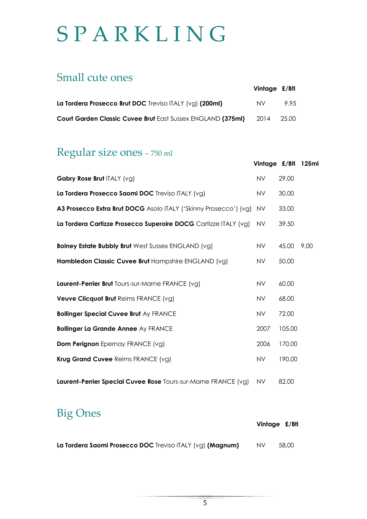# **SPARKLING**

#### Small cute ones

|                                                             | Vintage £/Btl |       |
|-------------------------------------------------------------|---------------|-------|
| La Tordera Prosecco Brut DOC Treviso ITALY $(vg)$ (200ml)   | NV.           | 995   |
| Court Garden Classic Cuvee Brut East Sussex ENGLAND (375ml) | 2014          | 25.00 |

#### Regular size ones – 750 ml

|                                                                  | Vintage £/Btl |        | 125ml |
|------------------------------------------------------------------|---------------|--------|-------|
| Gabry Rose Brut ITALY (vg)                                       | <b>NV</b>     | 29.00  |       |
| La Tordera Prosecco Saomi DOC Treviso ITALY (vg)                 | <b>NV</b>     | 30.00  |       |
| A3 Prosecco Extra Brut DOCG Asolo ITALY ('Skinny Prosecco') (vg) | <b>NV</b>     | 33.00  |       |
| La Tordera Cartizze Prosecco Superoire DOCG Cartizze ITALY (vg)  | <b>NV</b>     | 39.50  |       |
| <b>Bolney Estate Bubbly Brut</b> West Sussex ENGLAND (vg)        | <b>NV</b>     | 45.00  | 9.00  |
| Hambledon Classic Cuvee Brut Hampshire ENGLAND (vg)              | <b>NV</b>     | 50.00  |       |
| Laurent-Perrier Brut Tours-sur-Marne FRANCE (vg)                 | <b>NV</b>     | 60.00  |       |
| Veuve Clicquot Brut Reims FRANCE (vg)                            | <b>NV</b>     | 68.00  |       |
| <b>Bollinger Special Cuvee Brut Ay FRANCE</b>                    | <b>NV</b>     | 72.00  |       |
| <b>Bollinger La Grande Annee Ay FRANCE</b>                       | 2007          | 105.00 |       |
| <b>Dom Perignon</b> Epernay FRANCE (vg)                          | 2006          | 170.00 |       |
| Krug Grand Cuvee Reims FRANCE (vg)                               | <b>NV</b>     | 190.00 |       |
| Laurent-Perrier Special Cuvee Rose Tours-sur-Marne FRANCE (vg)   | NV            | 82.00  |       |

#### Big Ones

|                                                           | Vintage £/Btl |       |
|-----------------------------------------------------------|---------------|-------|
| La Tordera Saomi Prosecco DOC Treviso ITALY (vg) (Magnum) | NV.           | 58.00 |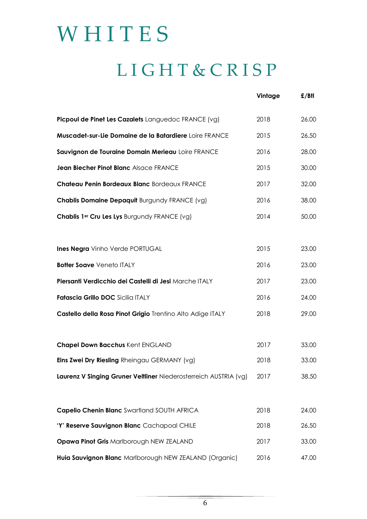# **WHITES** L I G H T & C R I S P

|                                                                  | Vintage | $E/B$ tl |
|------------------------------------------------------------------|---------|----------|
| Picpoul de Pinet Les Cazalets Languedoc FRANCE (vg)              | 2018    | 26.00    |
| Muscadet-sur-Lie Domaine de la Batardiere Loire FRANCE           | 2015    | 26.50    |
| Sauvignon de Touraine Domain Merieau Loire FRANCE                | 2016    | 28.00    |
| Jean Biecher Pinot Blanc Alsace FRANCE                           | 2015    | 30.00    |
| Chateau Penin Bordeaux Blanc Bordeaux FRANCE                     | 2017    | 32.00    |
| <b>Chablis Domaine Depaquit Burgundy FRANCE (vg)</b>             | 2016    | 38.00    |
| Chablis 1er Cru Les Lys Burgundy FRANCE (vg)                     | 2014    | 50.00    |
|                                                                  |         |          |
| <b>Ines Negra</b> Vinho Verde PORTUGAL                           | 2015    | 23.00    |
| <b>Botter Soave Veneto ITALY</b>                                 | 2016    | 23.00    |
| Piersanti Verdicchio dei Castelli di Jesi Marche ITALY           | 2017    | 23.00    |
| Fatascia Grillo DOC Sicilia ITALY                                | 2016    | 24.00    |
| Castello della Rosa Pinot Grigio Trentino Alto Adige ITALY       | 2018    | 29.00    |
|                                                                  |         |          |
| <b>Chapel Down Bacchus Kent ENGLAND</b>                          | 2017    | 33.00    |
| Eins Zwei Dry Riesling Rheingau GERMANY (vg)                     | 2018    | 33.00    |
| Laurenz V Singing Gruner Veltliner Niederosterreich AUSTRIA (vg) | 2017    | 38.50    |
|                                                                  |         |          |
| Capelio Chenin Blanc Swartland SOUTH AFRICA                      | 2018    | 24.00    |
| 'Y' Reserve Sauvignon Blanc Cachapoal CHILE                      | 2018    | 26.50    |
| Opawa Pinot Gris Marlborough NEW ZEALAND                         | 2017    | 33.00    |
| Huia Sauvignon Blanc Marlborough NEW ZEALAND (Organic)           | 2016    | 47.00    |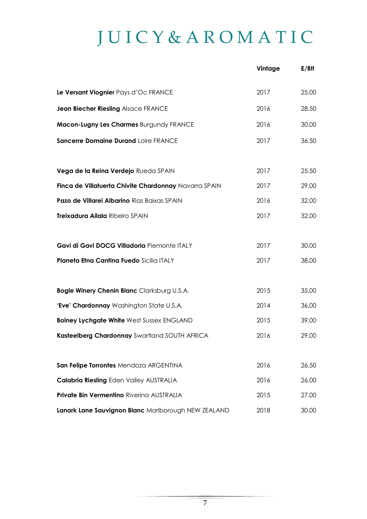# J U I C Y & A R O M A T I C

|                                                       | Vintage | $E/B$ tl |
|-------------------------------------------------------|---------|----------|
| Le Versant Viognier Pays d'Oc FRANCE                  | 2017    | 25.00    |
| Jean Biecher Riesling Alsace FRANCE                   | 2016    | 28.50    |
| Macon-Lugny Les Charmes Burgundy FRANCE               | 2016    | 30.00    |
| Sancerre Domaine Durand Loire FRANCE                  | 2017    | 36.50    |
|                                                       |         |          |
| Vega de la Reina Verdejo Rueda SPAIN                  | 2017    | 25.50    |
| Finca de Villatuerta Chivite Chardonnay Navarra SPAIN | 2017    | 29.00    |
| Pazo de Villarei Albarino Rias Baixas SPAIN           | 2016    | 32.00    |
| Treixadura Ailala Ribeiro SPAIN                       | 2017    | 32.00    |
|                                                       |         |          |
| Gavi di Gavi DOCG Villadoria Piemonte ITALY           | 2017    | 30.00    |
| Planeta Etna Cantina Fuedo Sicilia ITALY              | 2017    | 38.00    |
|                                                       |         |          |
| Bogle Winery Chenin Blanc Clarksburg U.S.A.           | 2015    | 35.00    |
| 'Eve' Chardonnay Washington State U.S.A.              | 2014    | 36.00    |
| <b>Bolney Lychgate White West Sussex ENGLAND</b>      | 2015    | 39.00    |
| Kasteelberg Chardonnay Swartland SOUTH AFRICA         | 2016    | 29.00    |
|                                                       |         |          |
| San Felipe Torrontes Mendoza ARGENTINA                | 2016    | 26.50    |
| <b>Calabria Riesling Eden Valley AUSTRALIA</b>        | 2016    | 26.00    |
| <b>Private Bin Vermentino Rivering AUSTRALIA</b>      | 2015    | 27.00    |
| Lanark Lane Sauvignon Blanc Marlborough NEW ZEALAND   | 2018    | 30.00    |
|                                                       |         |          |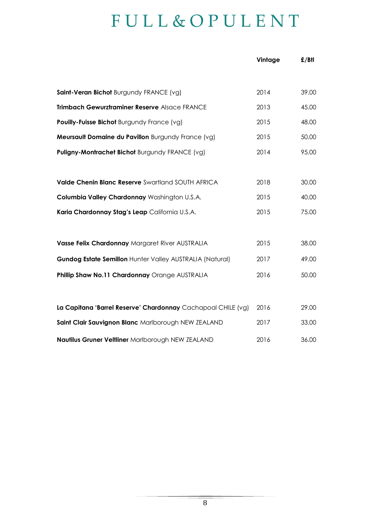### F U L L & O P U L E N T

|                                                              | Vintage | $E/B$ tl |
|--------------------------------------------------------------|---------|----------|
|                                                              |         |          |
| Saint-Veran Bichot Burgundy FRANCE (vg)                      | 2014    | 39.00    |
| Trimbach Gewurztraminer Reserve Alsace FRANCE                | 2013    | 45.00    |
| Pouilly-Fuisse Bichot Burgundy France (vg)                   | 2015    | 48.00    |
| Meursault Domaine du Pavillon Burgundy France (vg)           | 2015    | 50.00    |
| Puligny-Montrachet Bichot Burgundy FRANCE (vg)               | 2014    | 95.00    |
|                                                              |         |          |
| Valde Chenin Blanc Reserve Swartland SOUTH AFRICA            | 2018    | 30.00    |
| Columbia Valley Chardonnay Washington U.S.A.                 | 2015    | 40.00    |
| Karia Chardonnay Stag's Leap California U.S.A.               | 2015    | 75.00    |
|                                                              |         |          |
| Vasse Felix Chardonnay Margaret River AUSTRALIA              | 2015    | 38.00    |
| Gundog Estate Semillon Hunter Valley AUSTRALIA (Natural)     | 2017    | 49.00    |
| Phillip Shaw No.11 Chardonnay Orange AUSTRALIA               | 2016    | 50.00    |
|                                                              |         |          |
| La Capitana 'Barrel Reserve' Chardonnay Cachapoal CHILE (vg) | 2016    | 29.00    |
| Saint Clair Sauvignon Blanc Marlborough NEW ZEALAND          | 2017    | 33.00    |
| Nautilus Gruner Veltliner Marlborough NEW ZEALAND            | 2016    | 36.00    |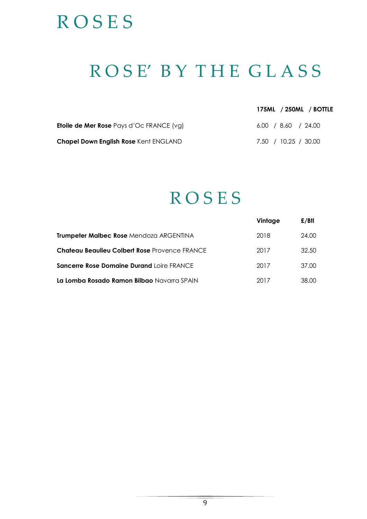# **ROSES**

## R O S E' B Y T H E G L A S S

| 175ML / 250ML / BOTTLE |  |  |
|------------------------|--|--|
|------------------------|--|--|

| <b>Etoile de Mer Rose</b> Pays d'Oc FRANCE (vg) | $6.00$ / 8.60 / 24.00 |
|-------------------------------------------------|-----------------------|
| <b>Chapel Down English Rose Kent ENGLAND</b>    | 7.50 / 10.25 / 30.00  |

### **ROSES**

|                                                  | Vintage | $E/B$ tl |
|--------------------------------------------------|---------|----------|
| <b>Trumpeter Malbec Rose Mendoza ARGENTINA</b>   | 2018    | 24.00    |
| Chateau Beaulieu Colbert Rose Provence FRANCE    | 2017    | 32.50    |
| <b>Sancerre Rose Domaine Durand Loire FRANCE</b> | 2017    | 37.00    |
| La Lomba Rosado Ramon Bilbao Navarra SPAIN       | 2017    | 38.00.   |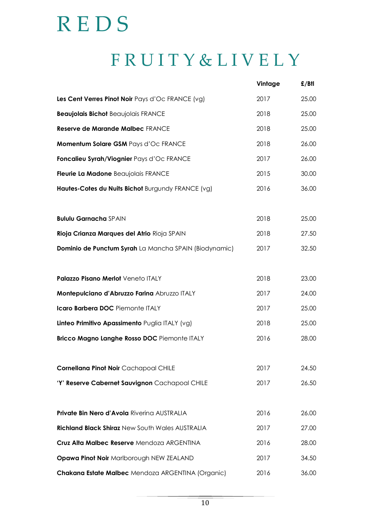# R E D S

# F R U I T Y & L I V E L Y

|                                                       | Vintage | £/Btl |
|-------------------------------------------------------|---------|-------|
| Les Cent Verres Pinot Noir Pays d'Oc FRANCE (vg)      | 2017    | 25.00 |
| <b>Beaujolais Bichot Beaujolais FRANCE</b>            | 2018    | 25.00 |
| Reserve de Marande Malbec FRANCE                      | 2018    | 25.00 |
| Momentum Solare GSM Pays d'Oc FRANCE                  | 2018    | 26.00 |
| Foncalieu Syrah/Viognier Pays d'Oc FRANCE             | 2017    | 26.00 |
| Fleurie La Madone Beaujolais FRANCE                   | 2015    | 30.00 |
| Hautes-Cotes du Nuits Bichot Burgundy FRANCE (vg)     | 2016    | 36.00 |
| <b>Bululu Garnacha SPAIN</b>                          | 2018    | 25.00 |
| Rioja Crianza Marques del Atrio Rioja SPAIN           | 2018    | 27.50 |
| Dominio de Punctum Syrah La Mancha SPAIN (Biodynamic) | 2017    | 32.50 |
| Palazzo Pisano Merlot Veneto ITALY                    | 2018    | 23.00 |
| Montepulciano d'Abruzzo Farina Abruzzo ITALY          | 2017    | 24.00 |
| Icaro Barbera DOC Piemonte ITALY                      | 2017    | 25.00 |
| Linteo Primitivo Apassimento Puglia ITALY (vg)        | 2018    | 25.00 |
| Bricco Magno Langhe Rosso DOC Piemonte ITALY          | 2016    | 28.00 |
| Cornellana Pinot Noir Cachapoal CHILE                 | 2017    | 24.50 |
| 'Y' Reserve Cabernet Sauvignon Cachapoal CHILE        | 2017    | 26.50 |
| Private Bin Nero d'Avola Riverina AUSTRALIA           | 2016    | 26.00 |
| Richland Black Shiraz New South Wales AUSTRALIA       | 2017    | 27.00 |
| Cruz Alta Malbec Reserve Mendoza ARGENTINA            | 2016    | 28.00 |
| Opawa Pinot Noir Marlborough NEW ZEALAND              | 2017    | 34.50 |
| Chakana Estate Malbec Mendoza ARGENTINA (Organic)     | 2016    | 36.00 |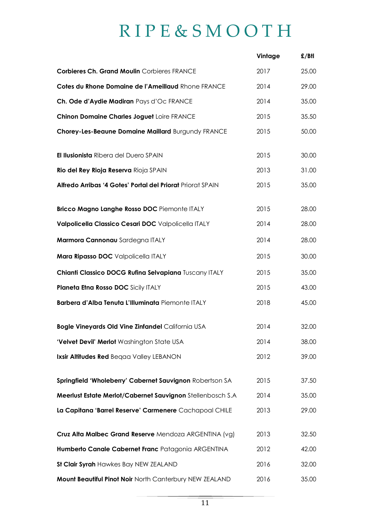# R I P E & S M O O T H

|                                                            | Vintage | $E/B$ tl |
|------------------------------------------------------------|---------|----------|
| <b>Corbieres Ch. Grand Moulin Corbieres FRANCE</b>         | 2017    | 25.00    |
| Cotes du Rhone Domaine de l'Ameillaud Rhone FRANCE         | 2014    | 29.00    |
| Ch. Ode d'Aydie Madiran Pays d'Oc FRANCE                   | 2014    | 35.00    |
| <b>Chinon Domaine Charles Joguet Loire FRANCE</b>          | 2015    | 35.50    |
| Chorey-Les-Beaune Domaine Maillard Burgundy FRANCE         | 2015    | 50.00    |
| El Ilusionista Ribera del Duero SPAIN                      | 2015    | 30.00    |
| Rio del Rey Rioja Reserva Rioja SPAIN                      | 2013    | 31.00    |
| Alfredo Arribas '4 Gotes' Portal del Priorat Priorat SPAIN | 2015    | 35.00    |
| Bricco Magno Langhe Rosso DOC Piemonte ITALY               | 2015    | 28.00    |
| Valpolicella Classico Cesari DOC Valpolicella ITALY        | 2014    | 28.00    |
| Marmora Cannonau Sardegna ITALY                            | 2014    | 28.00    |
| Mara Ripasso DOC Valpolicella ITALY                        | 2015    | 30.00    |
| Chianti Classico DOCG Rufina Selvapiana Tuscany ITALY      | 2015    | 35.00    |
| Planeta Etna Rosso DOC Sicily ITALY                        | 2015    | 43.00    |
| Barbera d'Alba Tenuta L'Illuminata Piemonte ITALY          | 2018    | 45.00    |
| <b>Bogle Vineyards Old Vine Zinfandel California USA</b>   | 2014    | 32.00    |
| 'Velvet Devil' Merlot Washington State USA                 | 2014    | 38.00    |
| Ixsir Altitudes Red Begaa Valley LEBANON                   | 2012    | 39.00    |
| Springfield 'Wholeberry' Cabernet Sauvignon Robertson SA   | 2015    | 37.50    |
| Meerlust Estate Merlot/Cabernet Sauvignon Stellenbosch S.A | 2014    | 35.00    |
| La Capitana 'Barrel Reserve' Carmenere Cachapoal CHILE     | 2013    | 29.00    |
| Cruz Alta Malbec Grand Reserve Mendoza ARGENTINA (vg)      | 2013    | 32.50    |
| Humberto Canale Cabernet Franc Patagonia ARGENTINA         | 2012    | 42.00    |
| St Clair Syrah Hawkes Bay NEW ZEALAND                      | 2016    | 32.00    |
| Mount Beautiful Pinot Noir North Canterbury NEW ZEALAND    | 2016    | 35.00    |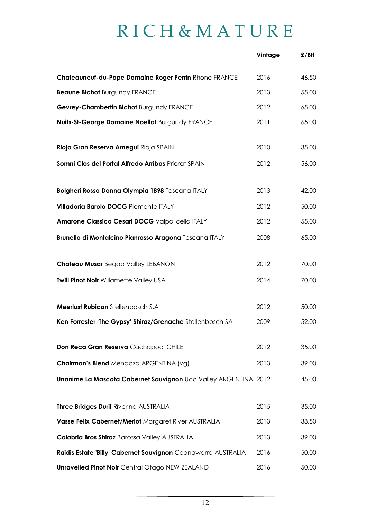# R I C H & M A T U R E

|                                                                 | Vintage | $E/B$ tl |
|-----------------------------------------------------------------|---------|----------|
| Chateauneuf-du-Pape Domaine Roger Perrin Rhone FRANCE           | 2016    | 46.50    |
| <b>Beaune Bichot Burgundy FRANCE</b>                            | 2013    | 55.00    |
| Gevrey-Chambertin Bichot Burgundy FRANCE                        | 2012    | 65.00    |
| Nuits-St-George Domaine Noellat Burgundy FRANCE                 | 2011    | 65.00    |
| Rioja Gran Reserva Arnegui Rioja SPAIN                          | 2010    | 35.00    |
| Somni Clos del Portal Alfredo Arribas Priorat SPAIN             | 2012    | 56.00    |
| Bolgheri Rosso Donna Olympia 1898 Toscana ITALY                 | 2013    | 42.00    |
| Villadoria Barolo DOCG Piemonte ITALY                           | 2012    | 50.00    |
| Amarone Classico Cesari DOCG Valpolicella ITALY                 | 2012    | 55.00    |
| Brunello di Montalcino Pianrosso Aragona Toscana ITALY          | 2008    | 65.00    |
| Chateau Musar Begaa Valley LEBANON                              | 2012    | 70.00    |
| <b>Twill Pinot Noir Willamette Valley USA</b>                   | 2014    | 70.00    |
| <b>Meerlust Rubicon Stellenbosch S.A.</b>                       | 2012    | 50.00    |
| Ken Forrester 'The Gypsy' Shiraz/Grenache Stellenbosch SA       | 2009    | 52.00    |
| Don Reca Gran Reserva Cachapoal CHILE                           | 2012    | 35.00    |
| Chairman's Blend Mendoza ARGENTINA (vg)                         | 2013    | 39.00    |
| Unanime La Mascota Cabernet Sauvignon Uco Valley ARGENTINA 2012 |         | 45.00    |
| Three Bridges Durif Riverina AUSTRALIA                          | 2015    | 35.00    |
| Vasse Felix Cabernet/Merlot Margaret River AUSTRALIA            | 2013    | 38.50    |
| Calabria Bros Shiraz Barossa Valley AUSTRALIA                   | 2013    | 39.00    |
| Raidis Estate 'Billy' Cabernet Sauvignon Coonawarra AUSTRALIA   | 2016    | 50.00    |
| <b>Unravelled Pinot Noir Central Otago NEW ZEALAND</b>          | 2016    | 50.00    |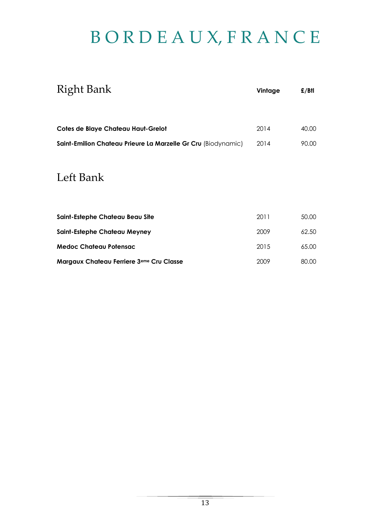# B O R D E A U X, F R A N C E

| <b>Right Bank</b>                                             | Vintage | $E/B$ tl |
|---------------------------------------------------------------|---------|----------|
| Cotes de Blaye Chateau Haut-Grelot                            | 2014    | 40.00    |
| Saint-Emilion Chateau Prieure La Marzelle Gr Cru (Biodynamic) | 2014    | 90.00    |
| Left Bank                                                     |         |          |
| Saint-Estephe Chateau Beau Site                               | 2011    | 50.00    |
| <b>Saint-Estephe Chateau Meyney</b>                           | 2009    | 62.50    |
| <b>Medoc Chateau Potensac</b>                                 | 2015    | 65.00    |
| Margaux Chateau Ferriere 3 <sup>eme</sup> Cru Classe          | 2009    | 80.00    |